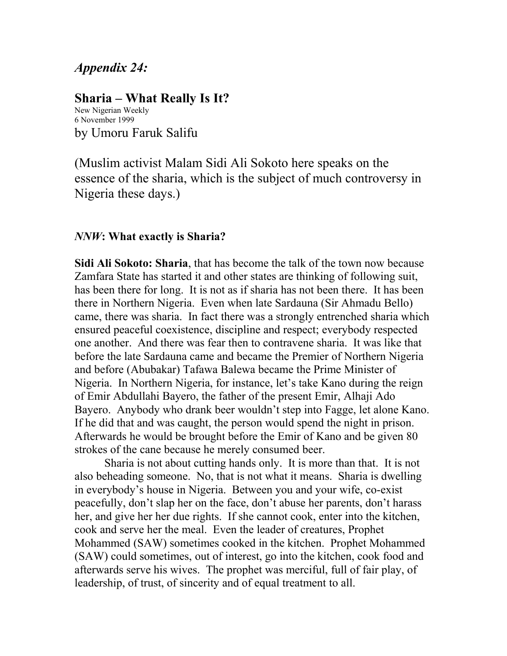## *Appendix 24:*

## **Sharia – What Really Is It?**

New Nigerian Weekly 6 November 1999 by Umoru Faruk Salifu

(Muslim activist Malam Sidi Ali Sokoto here speaks on the essence of the sharia, which is the subject of much controversy in Nigeria these days.)

## *NNW***: What exactly is Sharia?**

**Sidi Ali Sokoto: Sharia**, that has become the talk of the town now because Zamfara State has started it and other states are thinking of following suit, has been there for long. It is not as if sharia has not been there. It has been there in Northern Nigeria. Even when late Sardauna (Sir Ahmadu Bello) came, there was sharia. In fact there was a strongly entrenched sharia which ensured peaceful coexistence, discipline and respect; everybody respected one another. And there was fear then to contravene sharia. It was like that before the late Sardauna came and became the Premier of Northern Nigeria and before (Abubakar) Tafawa Balewa became the Prime Minister of Nigeria. In Northern Nigeria, for instance, let's take Kano during the reign of Emir Abdullahi Bayero, the father of the present Emir, Alhaji Ado Bayero. Anybody who drank beer wouldn't step into Fagge, let alone Kano. If he did that and was caught, the person would spend the night in prison. Afterwards he would be brought before the Emir of Kano and be given 80 strokes of the cane because he merely consumed beer.

Sharia is not about cutting hands only. It is more than that. It is not also beheading someone. No, that is not what it means. Sharia is dwelling in everybody's house in Nigeria. Between you and your wife, co-exist peacefully, don't slap her on the face, don't abuse her parents, don't harass her, and give her her due rights. If she cannot cook, enter into the kitchen, cook and serve her the meal. Even the leader of creatures, Prophet Mohammed (SAW) sometimes cooked in the kitchen. Prophet Mohammed (SAW) could sometimes, out of interest, go into the kitchen, cook food and afterwards serve his wives. The prophet was merciful, full of fair play, of leadership, of trust, of sincerity and of equal treatment to all.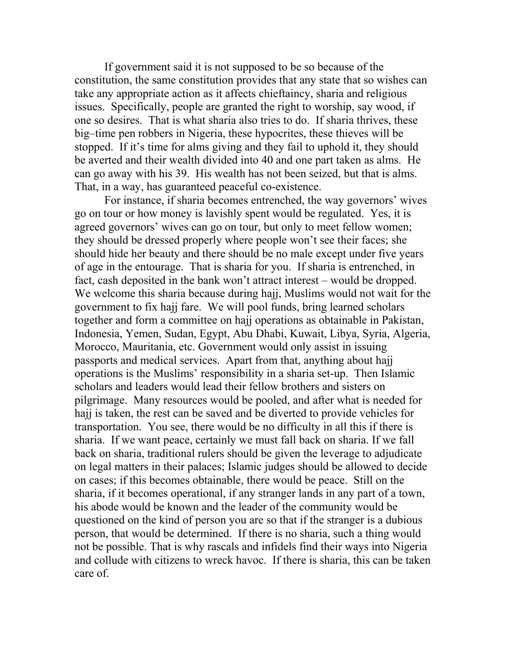If government said it is not supposed to be so because of the constitution, the same constitution provides that any state that so wishes can take any appropriate action as it affects chieftaincy, sharia and religious issues. Specifically, people are granted the right to worship, say wood, if one so desires. That is what sharia also tries to do. If sharia thrives, these big–time pen robbers in Nigeria, these hypocrites, these thieves will be stopped. If it's time for alms giving and they fail to uphold it, they should be averted and their wealth divided into 40 and one part taken as alms. He can go away with his 39. His wealth has not been seized, but that is alms. That, in a way, has guaranteed peaceful co-existence.

For instance, if sharia becomes entrenched, the way governors' wives go on tour or how money is lavishly spent would be regulated. Yes, it is agreed governors' wives can go on tour, but only to meet fellow women; they should be dressed properly where people won't see their faces; she should hide her beauty and there should be no male except under five years of age in the entourage. That is sharia for you. If sharia is entrenched, in fact, cash deposited in the bank won't attract interest – would be dropped. We welcome this sharia because during hajj, Muslims would not wait for the government to fix hajj fare. We will pool funds, bring learned scholars together and form a committee on hajj operations as obtainable in Pakistan, Indonesia, Yemen, Sudan, Egypt, Abu Dhabi, Kuwait, Libya, Syria, Algeria, Morocco, Mauritania, etc. Government would only assist in issuing passports and medical services. Apart from that, anything about hajj operations is the Muslims' responsibility in a sharia set-up. Then Islamic scholars and leaders would lead their fellow brothers and sisters on pilgrimage. Many resources would be pooled, and after what is needed for hajj is taken, the rest can be saved and be diverted to provide vehicles for transportation. You see, there would be no difficulty in all this if there is sharia. If we want peace, certainly we must fall back on sharia. If we fall back on sharia, traditional rulers should be given the leverage to adjudicate on legal matters in their palaces; Islamic judges should be allowed to decide on cases; if this becomes obtainable, there would be peace. Still on the sharia, if it becomes operational, if any stranger lands in any part of a town, his abode would be known and the leader of the community would be questioned on the kind of person you are so that if the stranger is a dubious person, that would be determined. If there is no sharia, such a thing would not be possible. That is why rascals and infidels find their ways into Nigeria and collude with citizens to wreck havoc. If there is sharia, this can be taken care of.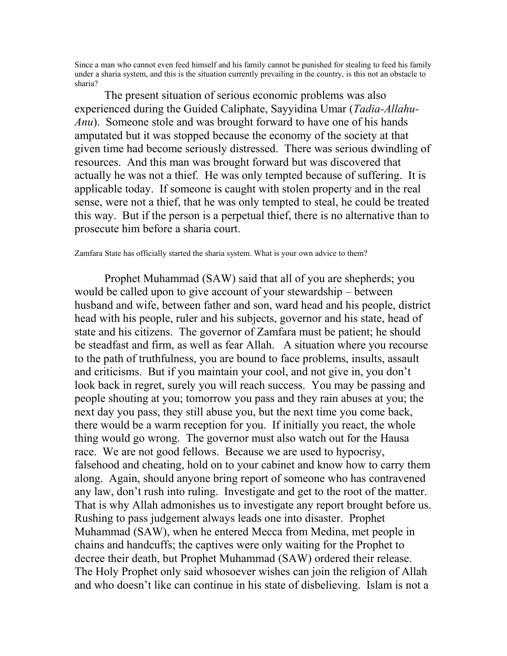Since a man who cannot even feed himself and his family cannot be punished for stealing to feed his family under a sharia system, and this is the situation currently prevailing in the country, is this not an obstacle to sharia?

The present situation of serious economic problems was also experienced during the Guided Caliphate, Sayyidina Umar (*Tadia-Allahu-Anu*). Someone stole and was brought forward to have one of his hands amputated but it was stopped because the economy of the society at that given time had become seriously distressed. There was serious dwindling of resources. And this man was brought forward but was discovered that actually he was not a thief. He was only tempted because of suffering. It is applicable today. If someone is caught with stolen property and in the real sense, were not a thief, that he was only tempted to steal, he could be treated this way. But if the person is a perpetual thief, there is no alternative than to prosecute him before a sharia court.

## Zamfara State has officially started the sharia system. What is your own advice to them?

Prophet Muhammad (SAW) said that all of you are shepherds; you would be called upon to give account of your stewardship – between husband and wife, between father and son, ward head and his people, district head with his people, ruler and his subjects, governor and his state, head of state and his citizens. The governor of Zamfara must be patient; he should be steadfast and firm, as well as fear Allah. A situation where you recourse to the path of truthfulness, you are bound to face problems, insults, assault and criticisms. But if you maintain your cool, and not give in, you don't look back in regret, surely you will reach success. You may be passing and people shouting at you; tomorrow you pass and they rain abuses at you; the next day you pass, they still abuse you, but the next time you come back, there would be a warm reception for you. If initially you react, the whole thing would go wrong. The governor must also watch out for the Hausa race. We are not good fellows. Because we are used to hypocrisy, falsehood and cheating, hold on to your cabinet and know how to carry them along. Again, should anyone bring report of someone who has contravened any law, don't rush into ruling. Investigate and get to the root of the matter. That is why Allah admonishes us to investigate any report brought before us. Rushing to pass judgement always leads one into disaster. Prophet Muhammad (SAW), when he entered Mecca from Medina, met people in chains and handcuffs; the captives were only waiting for the Prophet to decree their death, but Prophet Muhammad (SAW) ordered their release. The Holy Prophet only said whosoever wishes can join the religion of Allah and who doesn't like can continue in his state of disbelieving. Islam is not a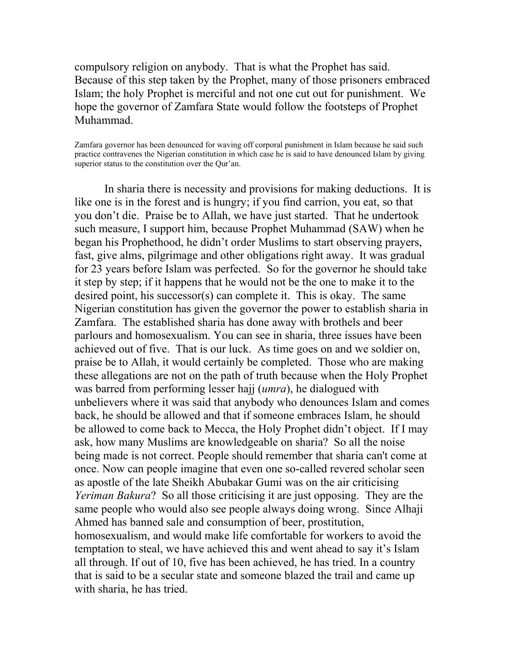compulsory religion on anybody. That is what the Prophet has said. Because of this step taken by the Prophet, many of those prisoners embraced Islam; the holy Prophet is merciful and not one cut out for punishment. We hope the governor of Zamfara State would follow the footsteps of Prophet Muhammad.

Zamfara governor has been denounced for waving off corporal punishment in Islam because he said such practice contravenes the Nigerian constitution in which case he is said to have denounced Islam by giving superior status to the constitution over the Qur'an.

In sharia there is necessity and provisions for making deductions. It is like one is in the forest and is hungry; if you find carrion, you eat, so that you don't die. Praise be to Allah, we have just started. That he undertook such measure, I support him, because Prophet Muhammad (SAW) when he began his Prophethood, he didn't order Muslims to start observing prayers, fast, give alms, pilgrimage and other obligations right away. It was gradual for 23 years before Islam was perfected. So for the governor he should take it step by step; if it happens that he would not be the one to make it to the desired point, his successor(s) can complete it. This is okay. The same Nigerian constitution has given the governor the power to establish sharia in Zamfara. The established sharia has done away with brothels and beer parlours and homosexualism. You can see in sharia, three issues have been achieved out of five. That is our luck. As time goes on and we soldier on, praise be to Allah, it would certainly be completed. Those who are making these allegations are not on the path of truth because when the Holy Prophet was barred from performing lesser hajj (*umra*), he dialogued with unbelievers where it was said that anybody who denounces Islam and comes back, he should be allowed and that if someone embraces Islam, he should be allowed to come back to Mecca, the Holy Prophet didn't object. If I may ask, how many Muslims are knowledgeable on sharia? So all the noise being made is not correct. People should remember that sharia can't come at once. Now can people imagine that even one so-called revered scholar seen as apostle of the late Sheikh Abubakar Gumi was on the air criticising *Yeriman Bakura*? So all those criticising it are just opposing. They are the same people who would also see people always doing wrong. Since Alhaji Ahmed has banned sale and consumption of beer, prostitution, homosexualism, and would make life comfortable for workers to avoid the temptation to steal, we have achieved this and went ahead to say it's Islam all through. If out of 10, five has been achieved, he has tried. In a country that is said to be a secular state and someone blazed the trail and came up with sharia, he has tried.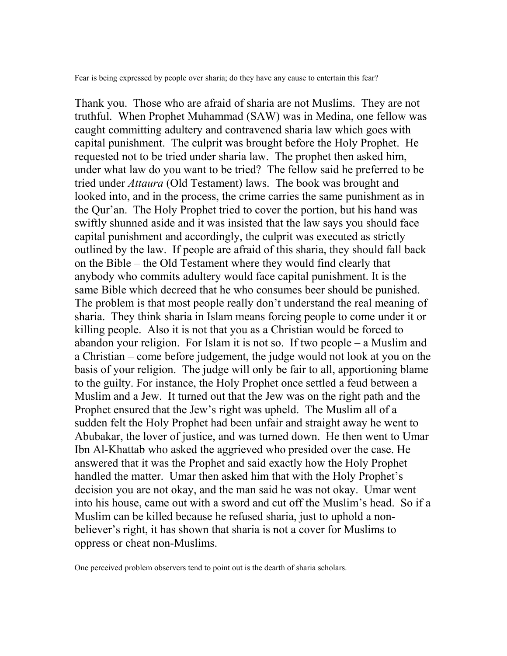Fear is being expressed by people over sharia; do they have any cause to entertain this fear?

Thank you. Those who are afraid of sharia are not Muslims. They are not truthful. When Prophet Muhammad (SAW) was in Medina, one fellow was caught committing adultery and contravened sharia law which goes with capital punishment. The culprit was brought before the Holy Prophet. He requested not to be tried under sharia law. The prophet then asked him, under what law do you want to be tried? The fellow said he preferred to be tried under *Attaura* (Old Testament) laws. The book was brought and looked into, and in the process, the crime carries the same punishment as in the Qur'an. The Holy Prophet tried to cover the portion, but his hand was swiftly shunned aside and it was insisted that the law says you should face capital punishment and accordingly, the culprit was executed as strictly outlined by the law. If people are afraid of this sharia, they should fall back on the Bible – the Old Testament where they would find clearly that anybody who commits adultery would face capital punishment. It is the same Bible which decreed that he who consumes beer should be punished. The problem is that most people really don't understand the real meaning of sharia. They think sharia in Islam means forcing people to come under it or killing people. Also it is not that you as a Christian would be forced to abandon your religion. For Islam it is not so. If two people – a Muslim and a Christian – come before judgement, the judge would not look at you on the basis of your religion. The judge will only be fair to all, apportioning blame to the guilty. For instance, the Holy Prophet once settled a feud between a Muslim and a Jew. It turned out that the Jew was on the right path and the Prophet ensured that the Jew's right was upheld. The Muslim all of a sudden felt the Holy Prophet had been unfair and straight away he went to Abubakar, the lover of justice, and was turned down. He then went to Umar Ibn Al-Khattab who asked the aggrieved who presided over the case. He answered that it was the Prophet and said exactly how the Holy Prophet handled the matter. Umar then asked him that with the Holy Prophet's decision you are not okay, and the man said he was not okay. Umar went into his house, came out with a sword and cut off the Muslim's head. So if a Muslim can be killed because he refused sharia, just to uphold a nonbeliever's right, it has shown that sharia is not a cover for Muslims to oppress or cheat non-Muslims.

One perceived problem observers tend to point out is the dearth of sharia scholars.